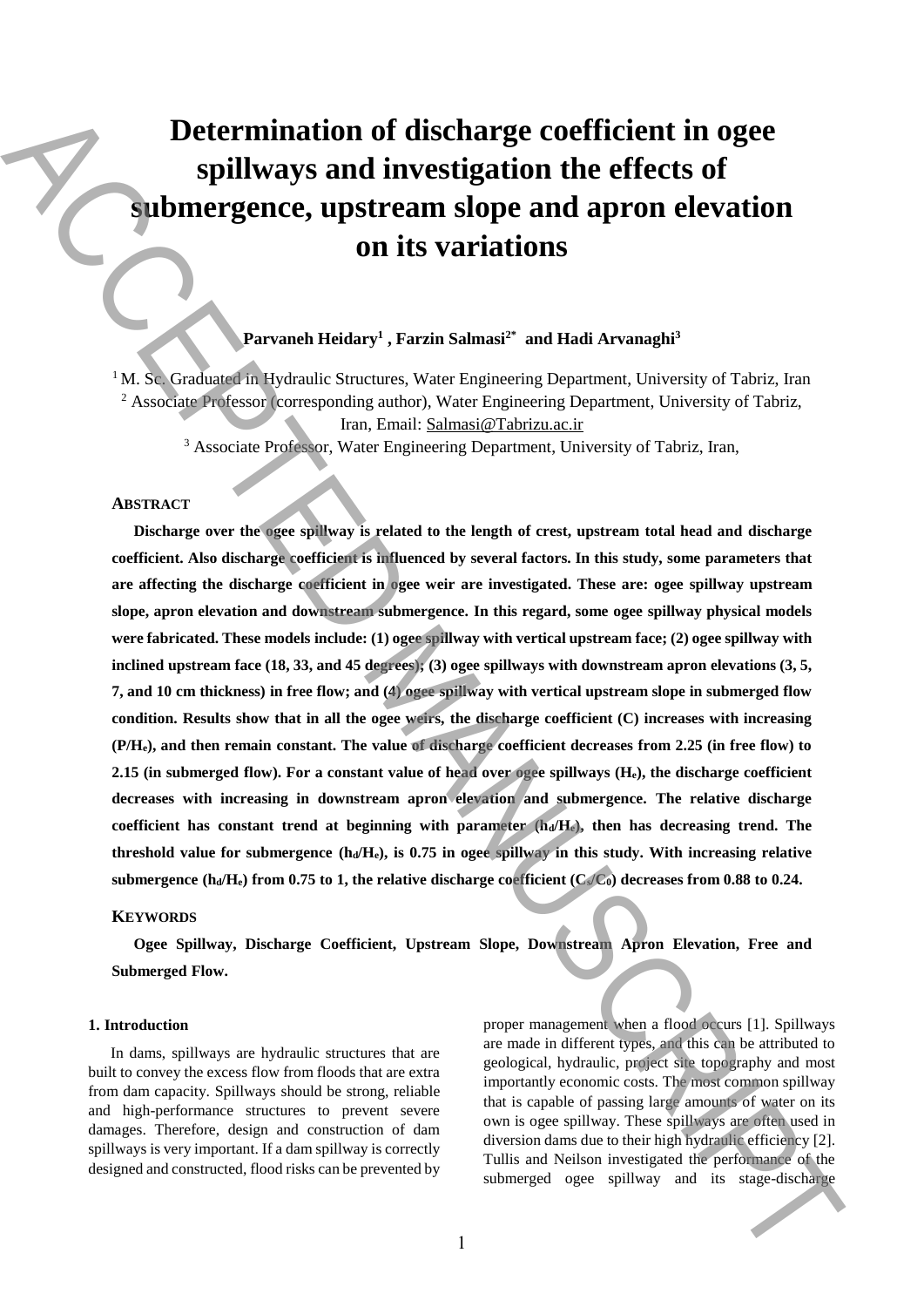# **Determination of discharge coefficient in ogee spillways and investigation the effects of submergence, upstream slope and apron elevation on its variations**

# **Parvaneh Heidary 1 , Farzin Salmasi2\* and Hadi Arvanaghi<sup>3</sup>**

 $1<sup>1</sup>M$ . Sc. Graduated in Hydraulic Structures, Water Engineering Department, University of Tabriz, Iran <sup>2</sup> Associate Professor (corresponding author), Water Engineering Department, University of Tabriz, Iran, Email: Salmasi@Tabrizu.ac.ir

<sup>3</sup> Associate Professor, Water Engineering Department, University of Tabriz, Iran,

# **ABSTRACT**

**Discharge over the ogee spillway is related to the length of crest, upstream total head and discharge coefficient. Also discharge coefficient is influenced by several factors. In this study, some parameters that are affecting the discharge coefficient in ogee weir are investigated. These are: ogee spillway upstream slope, apron elevation and downstream submergence. In this regard, some ogee spillway physical models were fabricated. These models include: (1) ogee spillway with vertical upstream face; (2) ogee spillway with inclined upstream face (18, 33, and 45 degrees); (3) ogee spillways with downstream apron elevations (3, 5, 7, and 10 cm thickness) in free flow; and (4) ogee spillway with vertical upstream slope in submerged flow condition. Results show that in all the ogee weirs, the discharge coefficient (C) increases with increasing (P/He), and then remain constant. The value of discharge coefficient decreases from 2.25 (in free flow) to 2.15 (in submerged flow). For a constant value of head over ogee spillways (He), the discharge coefficient decreases with increasing in downstream apron elevation and submergence. The relative discharge coefficient has constant trend at beginning with parameter (hd/He), then has decreasing trend. The threshold value for submergence**  $(h_d/H_e)$ **, is 0.75 in ogee spillway in this study. With increasing relative** submergence  $(h_d/H_e)$  from 0.75 to 1, the relative discharge coefficient  $(C_s/C_0)$  decreases from 0.88 to 0.24. **Determination of discharge coefficient in ogee spillways and investigation the effects of submergence, upstream slope and apron elevations on its variations on its variations of the state-discharge ACCEPTED MANUSCRIPTE (** 

### **KEYWORDS**

**Ogee Spillway, Discharge Coefficient, Upstream Slope, Downstream Apron Elevation, Free and Submerged Flow.** 

#### **1. Introduction**

In dams, spillways are hydraulic structures that are built to convey the excess flow from floods that are extra from dam capacity. Spillways should be strong, reliable and high-performance structures to prevent severe damages. Therefore, design and construction of dam spillways is very important. If a dam spillway is correctly designed and constructed, flood risks can be prevented by proper management when a flood occurs [1]. Spillways are made in different types, and this can be attributed to geological, hydraulic, project site topography and most importantly economic costs. The most common spillway that is capable of passing large amounts of water on its own is ogee spillway. These spillways are often used in diversion dams due to their high hydraulic efficiency [2]. Tullis and Neilson investigated the performance of the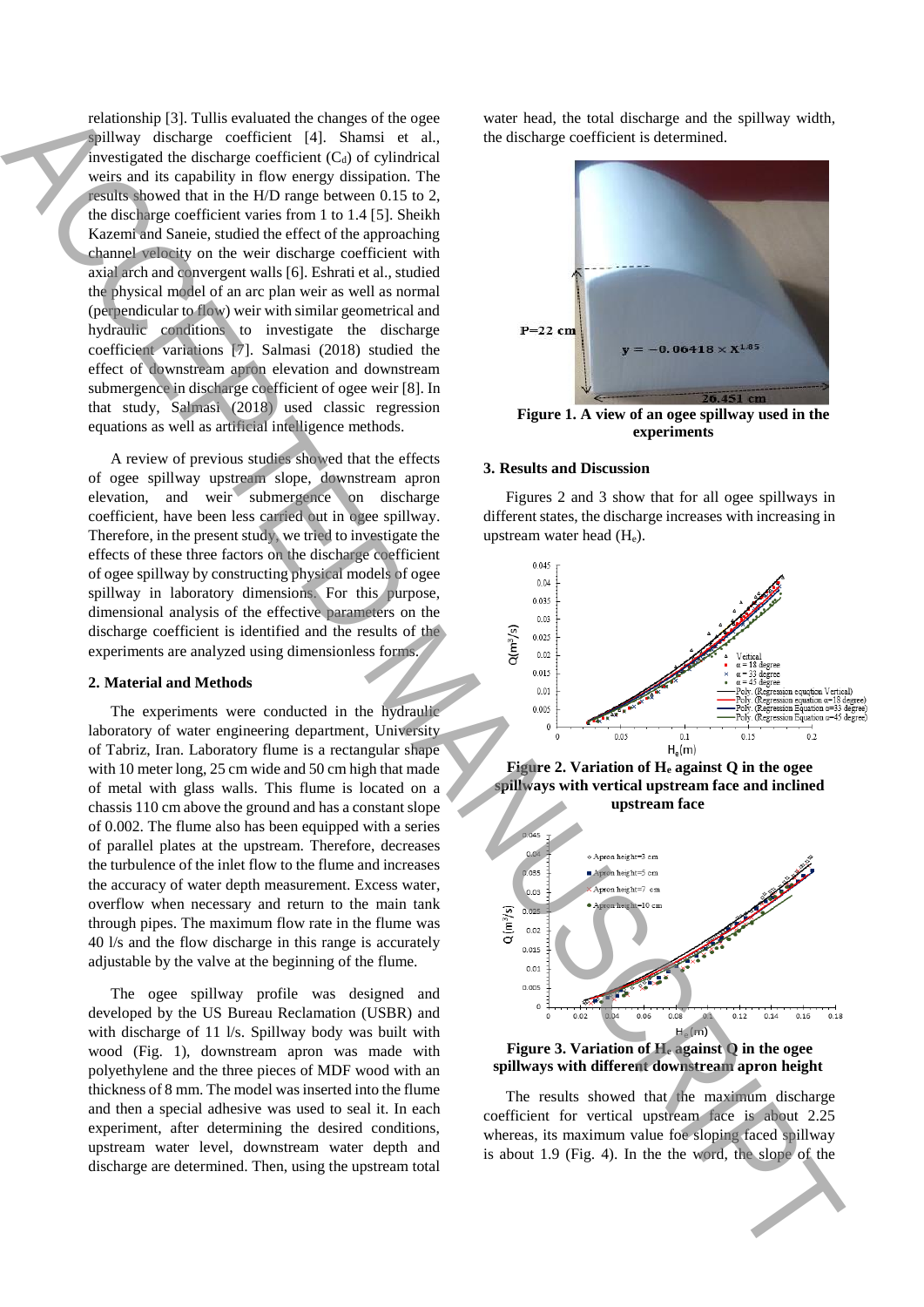relationship [3]. Tullis evaluated the changes of the ogee spillway discharge coefficient [4]. Shamsi et al., investigated the discharge coefficient  $(C_d)$  of cylindrical weirs and its capability in flow energy dissipation. The results showed that in the H/D range between 0.15 to 2, the discharge coefficient varies from 1 to 1.4 [5]. Sheikh Kazemi and Saneie, studied the effect of the approaching channel velocity on the weir discharge coefficient with axial arch and convergent walls [6]. Eshrati et al., studied the physical model of an arc plan weir as well as normal (perpendicular to flow) weir with similar geometrical and hydraulic conditions to investigate the discharge coefficient variations [7]. Salmasi (2018) studied the effect of downstream apron elevation and downstream submergence in discharge coefficient of ogee weir [8]. In that study, Salmasi (2018) used classic regression equations as well as artificial intelligence methods. The state is a control of the slope of the slope of the slope of the slope of the slope of the slope of the slope of the slope of the slope of the slope of the slope of the slope of the slope of the slope of the slope of

A review of previous studies showed that the effects of ogee spillway upstream slope, downstream apron elevation, and weir submergence on discharge coefficient, have been less carried out in ogee spillway. Therefore, in the present study, we tried to investigate the effects of these three factors on the discharge coefficient of ogee spillway by constructing physical models of ogee spillway in laboratory dimensions. For this purpose, dimensional analysis of the effective parameters on the discharge coefficient is identified and the results of the experiments are analyzed using dimensionless forms.

## **2. Material and Methods**

The experiments were conducted in the hydraulic laboratory of water engineering department, University of Tabriz, Iran. Laboratory flume is a rectangular shape with 10 meter long, 25 cm wide and 50 cm high that made of metal with glass walls. This flume is located on a chassis 110 cm above the ground and has a constant slope of 0.002. The flume also has been equipped with a series of parallel plates at the upstream. Therefore, decreases the turbulence of the inlet flow to the flume and increases the accuracy of water depth measurement. Excess water, overflow when necessary and return to the main tank through pipes. The maximum flow rate in the flume was 40 l/s and the flow discharge in this range is accurately adjustable by the valve at the beginning of the flume.

The ogee spillway profile was designed and developed by the US Bureau Reclamation (USBR) and with discharge of 11 l/s. Spillway body was built with wood (Fig. 1), downstream apron was made with polyethylene and the three pieces of MDF wood with an thickness of 8 mm. The model was inserted into the flume and then a special adhesive was used to seal it. In each experiment, after determining the desired conditions, upstream water level, downstream water depth and discharge are determined. Then, using the upstream total water head, the total discharge and the spillway width, the discharge coefficient is determined.



**Figure 1. A view of an ogee spillway used in the experiments**

#### **3. Results and Discussion**

Figures 2 and 3 show that for all ogee spillways in different states, the discharge increases with increasing in upstream water head (He).



**Figure 2. Variation of H<sup>e</sup> against Q in the ogee spillways with vertical upstream face and inclined upstream face** 



**Figure 3. Variation of H<sup>e</sup> against Q in the ogee spillways with different downstream apron height**

The results showed that the maximum discharge coefficient for vertical upstream face is about 2.25 whereas, its maximum value foe sloping faced spillway